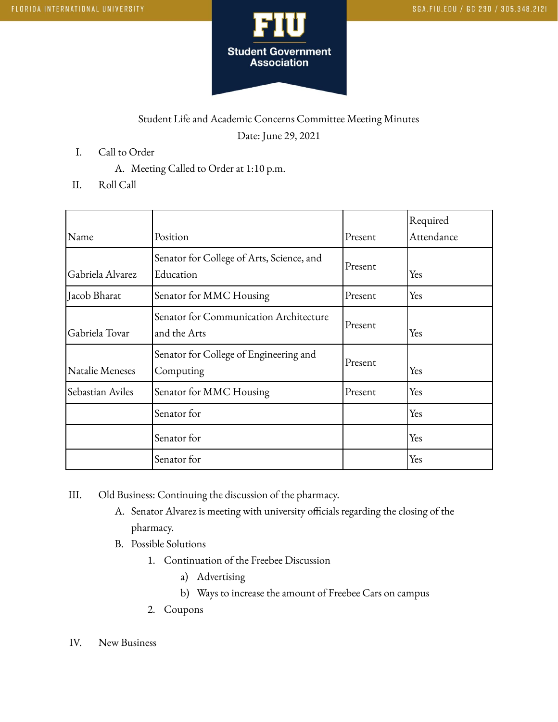

## Student Life and Academic Concerns Committee Meeting Minutes Date: June 29, 2021

- I. Call to Order
	- A. Meeting Called to Order at 1:10 p.m.
- II. Roll Call

| Name             | Position                                               | Present | Required<br>Attendance |
|------------------|--------------------------------------------------------|---------|------------------------|
| Gabriela Alvarez | Senator for College of Arts, Science, and<br>Education | Present | Yes                    |
| Jacob Bharat     | Senator for MMC Housing                                | Present | Yes                    |
| Gabriela Tovar   | Senator for Communication Architecture<br>and the Arts | Present | Yes                    |
| Natalie Meneses  | Senator for College of Engineering and<br>Computing    | Present | Yes                    |
| Sebastian Aviles | Senator for MMC Housing                                | Present | Yes                    |
|                  | Senator for                                            |         | Yes                    |
|                  | Senator for                                            |         | Yes                    |
|                  | Senator for                                            |         | Yes                    |

- III. Old Business: Continuing the discussion of the pharmacy.
	- A. Senator Alvarez is meeting with university officials regarding the closing of the pharmacy.
	- B. Possible Solutions
		- 1. Continuation of the Freebee Discussion
			- a) Advertising
			- b) Ways to increase the amount of Freebee Cars on campus
		- 2. Coupons
- IV. New Business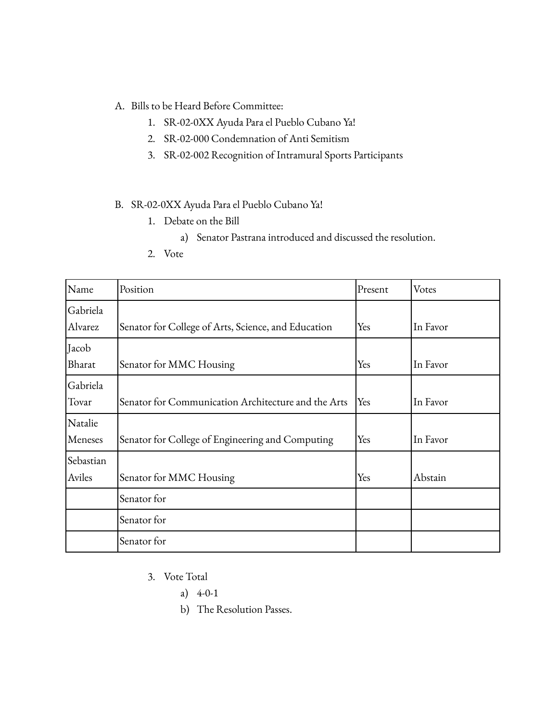- A. Bills to be Heard Before Committee:
	- 1. SR-02-0XX Ayuda Para el Pueblo Cubano Ya!
	- 2. SR-02-000 Condemnation of Anti Semitism
	- 3. SR-02-002 Recognition of Intramural Sports Participants

## B. SR-02-0XX Ayuda Para el Pueblo Cubano Ya!

- 1. Debate on the Bill
	- a) Senator Pastrana introduced and discussed the resolution.
- 2. Vote

| Name                | Position                                            | Present | Votes    |
|---------------------|-----------------------------------------------------|---------|----------|
| Gabriela<br>Alvarez | Senator for College of Arts, Science, and Education | Yes     | In Favor |
| Jacob<br>Bharat     | Senator for MMC Housing                             | Yes     | In Favor |
| Gabriela<br>Tovar   | Senator for Communication Architecture and the Arts | Yes     | In Favor |
| Natalie<br>Meneses  | Senator for College of Engineering and Computing    | Yes     | In Favor |
| Sebastian<br>Aviles | Senator for MMC Housing                             | Yes     | Abstain  |
|                     | Senator for                                         |         |          |
|                     | Senator for                                         |         |          |
|                     | Senator for                                         |         |          |

- 3. Vote Total
	- a) 4-0-1
	- b) The Resolution Passes.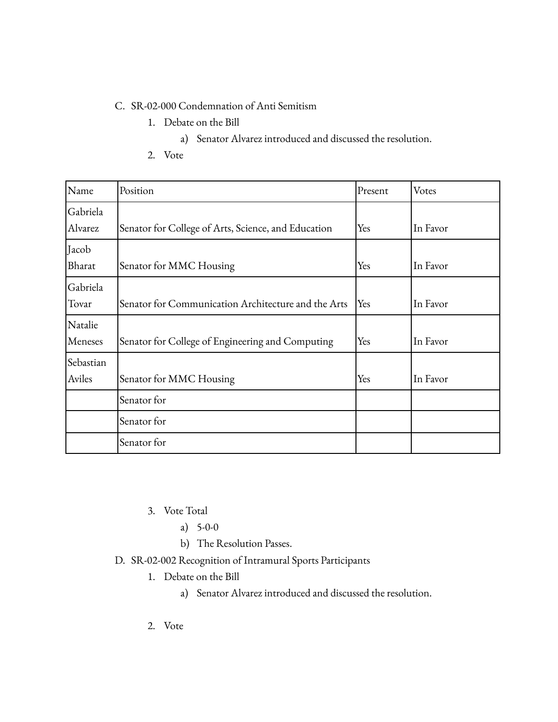## C. SR-02-000 Condemnation of Anti Semitism

- 1. Debate on the Bill
	- a) Senator Alvarez introduced and discussed the resolution.
- 2. Vote

| Name                | Position                                            | Present | Votes    |
|---------------------|-----------------------------------------------------|---------|----------|
| Gabriela<br>Alvarez | Senator for College of Arts, Science, and Education | Yes     | In Favor |
| Jacob<br>Bharat     | Senator for MMC Housing                             | Yes     | In Favor |
| Gabriela<br>Tovar   | Senator for Communication Architecture and the Arts | Yes     | In Favor |
| Natalie<br>Meneses  | Senator for College of Engineering and Computing    | Yes     | In Favor |
| Sebastian<br>Aviles | Senator for MMC Housing                             | Yes     | In Favor |
|                     | Senator for                                         |         |          |
|                     | Senator for                                         |         |          |
|                     | Senator for                                         |         |          |

- 3. Vote Total
	- a) 5-0-0
	- b) The Resolution Passes.
- D. SR-02-002 Recognition of Intramural Sports Participants
	- 1. Debate on the Bill
		- a) Senator Alvarez introduced and discussed the resolution.
	- 2. Vote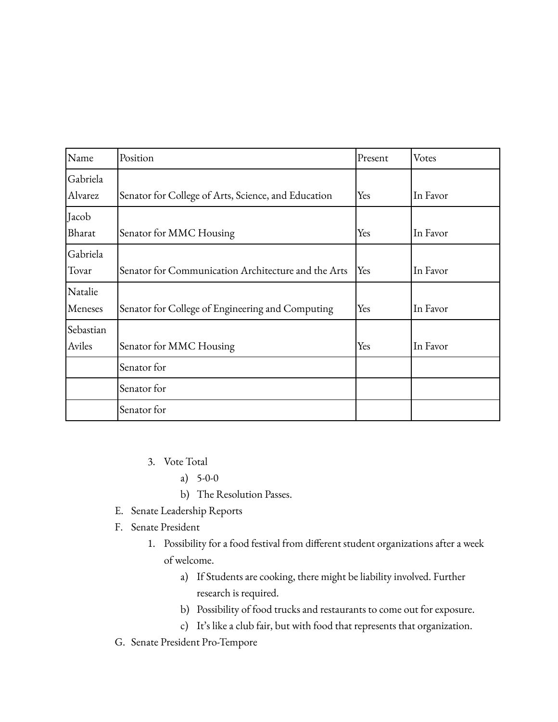| Name                | Position                                            | Present | Votes    |
|---------------------|-----------------------------------------------------|---------|----------|
| Gabriela<br>Alvarez | Senator for College of Arts, Science, and Education | Yes     | In Favor |
| Jacob<br>Bharat     | Senator for MMC Housing                             | Yes     | In Favor |
| Gabriela<br>Tovar   | Senator for Communication Architecture and the Arts | Yes     | In Favor |
| Natalie<br>Meneses  | Senator for College of Engineering and Computing    | Yes     | In Favor |
| Sebastian<br>Aviles | Senator for MMC Housing                             | Yes     | In Favor |
|                     | Senator for                                         |         |          |
|                     | Senator for                                         |         |          |
|                     | Senator for                                         |         |          |

- 3. Vote Total
	- a) 5-0-0
	- b) The Resolution Passes.
- E. Senate Leadership Reports
- F. Senate President
	- 1. Possibility for a food festival from different student organizations after a week of welcome.
		- a) If Students are cooking, there might be liability involved. Further research is required.
		- b) Possibility of food trucks and restaurants to come out for exposure.
		- c) It's like a club fair, but with food that represents that organization.
- G. Senate President Pro-Tempore